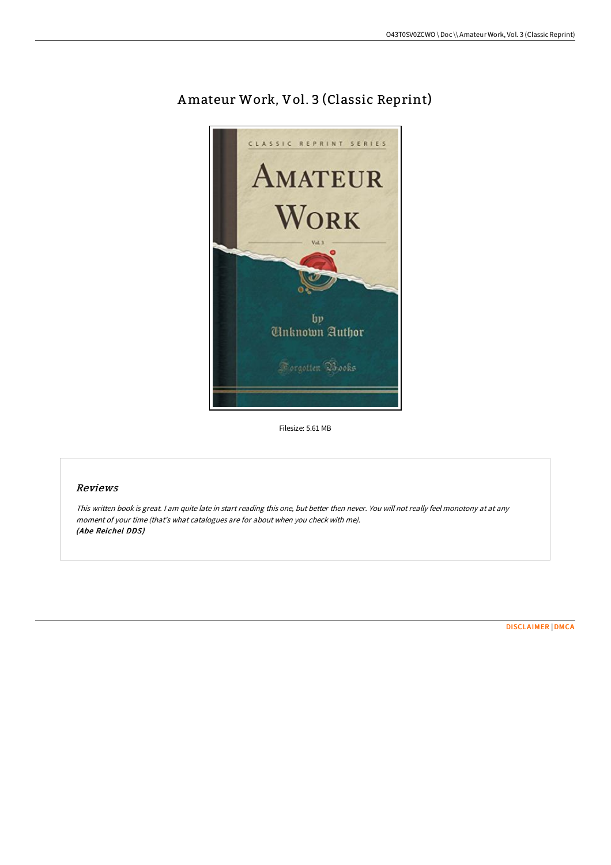

## Amateur Work, Vol. 3 (Classic Reprint)

Filesize: 5.61 MB

## Reviews

This written book is great. <sup>I</sup> am quite late in start reading this one, but better then never. You will not really feel monotony at at any moment of your time (that's what catalogues are for about when you check with me). (Abe Reichel DDS)

[DISCLAIMER](http://digilib.live/disclaimer.html) | [DMCA](http://digilib.live/dmca.html)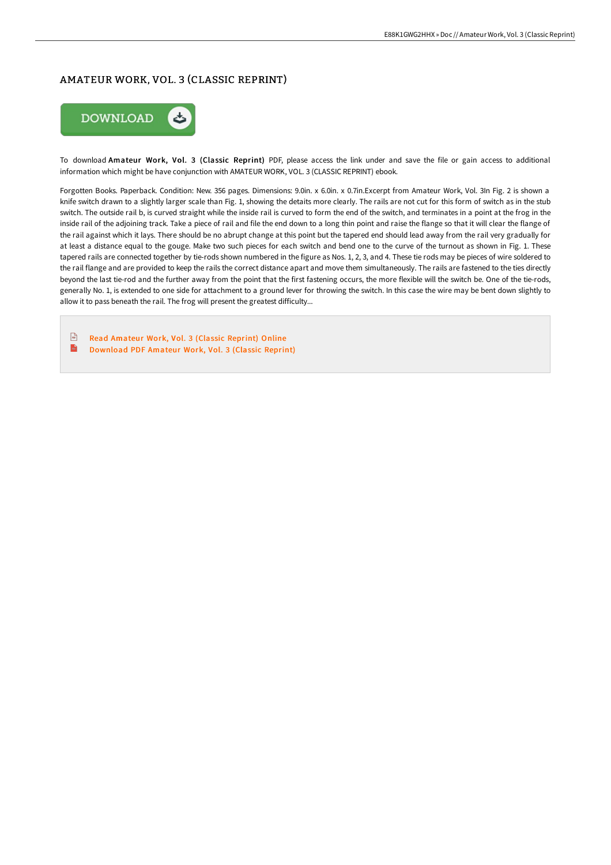## AMATEUR WORK, VOL. 3 (CLASSIC REPRINT)



To download Amateur Work, Vol. 3 (Classic Reprint) PDF, please access the link under and save the file or gain access to additional information which might be have conjunction with AMATEUR WORK, VOL. 3 (CLASSIC REPRINT) ebook.

Forgotten Books. Paperback. Condition: New. 356 pages. Dimensions: 9.0in. x 6.0in. x 0.7in.Excerpt from Amateur Work, Vol. 3In Fig. 2 is shown a knife switch drawn to a slightly larger scale than Fig. 1, showing the detaits more clearly. The rails are not cut for this form of switch as in the stub switch. The outside rail b, is curved straight while the inside rail is curved to form the end of the switch, and terminates in a point at the frog in the inside rail of the adjoining track. Take a piece of rail and file the end down to a long thin point and raise the flange so that it will clear the flange of the rail against which it lays. There should be no abrupt change at this point but the tapered end should lead away from the rail very gradually for at least a distance equal to the gouge. Make two such pieces for each switch and bend one to the curve of the turnout as shown in Fig. 1. These tapered rails are connected together by tie-rods shown numbered in the figure as Nos. 1, 2, 3, and 4. These tie rods may be pieces of wire soldered to the rail flange and are provided to keep the rails the correct distance apart and move them simultaneously. The rails are fastened to the ties directly beyond the last tie-rod and the further away from the point that the first fastening occurs, the more flexible will the switch be. One of the tie-rods, generally No. 1, is extended to one side for attachment to a ground lever for throwing the switch. In this case the wire may be bent down slightly to allow it to pass beneath the rail. The frog will present the greatest difficulty...

 $\sqrt{m}$ Read [Amateur](http://digilib.live/amateur-work-vol-3-classic-reprint-1.html) Work, Vol. 3 (Classic Reprint) Online  $\mathbf{m}$ [Download](http://digilib.live/amateur-work-vol-3-classic-reprint-1.html) PDF Amateur Work, Vol. 3 (Classic Reprint)